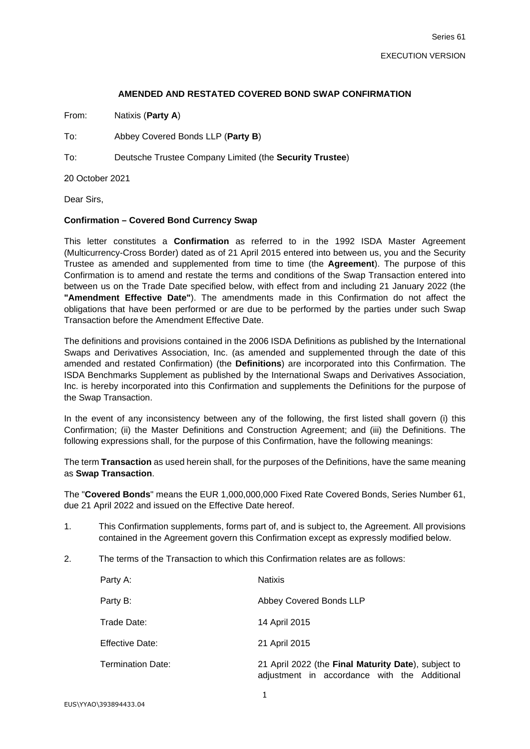### **AMENDED AND RESTATED COVERED BOND SWAP CONFIRMATION**

From: Natixis (**Party A**)

To: Abbey Covered Bonds LLP (**Party B**)

To: Deutsche Trustee Company Limited (the **Security Trustee**)

20 October 2021

Dear Sirs,

### **Confirmation – Covered Bond Currency Swap**

This letter constitutes a **Confirmation** as referred to in the 1992 ISDA Master Agreement (Multicurrency-Cross Border) dated as of 21 April 2015 entered into between us, you and the Security Trustee as amended and supplemented from time to time (the **Agreement**). The purpose of this Confirmation is to amend and restate the terms and conditions of the Swap Transaction entered into between us on the Trade Date specified below, with effect from and including 21 January 2022 (the **"Amendment Effective Date"**). The amendments made in this Confirmation do not affect the obligations that have been performed or are due to be performed by the parties under such Swap Transaction before the Amendment Effective Date.

The definitions and provisions contained in the 2006 ISDA Definitions as published by the International Swaps and Derivatives Association, Inc. (as amended and supplemented through the date of this amended and restated Confirmation) (the **Definitions**) are incorporated into this Confirmation. The ISDA Benchmarks Supplement as published by the International Swaps and Derivatives Association, Inc. is hereby incorporated into this Confirmation and supplements the Definitions for the purpose of the Swap Transaction.

In the event of any inconsistency between any of the following, the first listed shall govern (i) this Confirmation; (ii) the Master Definitions and Construction Agreement; and (iii) the Definitions. The following expressions shall, for the purpose of this Confirmation, have the following meanings:

The term **Transaction** as used herein shall, for the purposes of the Definitions, have the same meaning as **Swap Transaction**.

The "**Covered Bonds**" means the EUR 1,000,000,000 Fixed Rate Covered Bonds, Series Number 61, due 21 April 2022 and issued on the Effective Date hereof.

- 1. This Confirmation supplements, forms part of, and is subject to, the Agreement. All provisions contained in the Agreement govern this Confirmation except as expressly modified below.
- 2. The terms of the Transaction to which this Confirmation relates are as follows:

| Party A:                 | <b>Natixis</b>                                                                                      |
|--------------------------|-----------------------------------------------------------------------------------------------------|
| Party B:                 | Abbey Covered Bonds LLP                                                                             |
| Trade Date:              | 14 April 2015                                                                                       |
| Effective Date:          | 21 April 2015                                                                                       |
| <b>Termination Date:</b> | 21 April 2022 (the Final Maturity Date), subject to<br>adjustment in accordance with the Additional |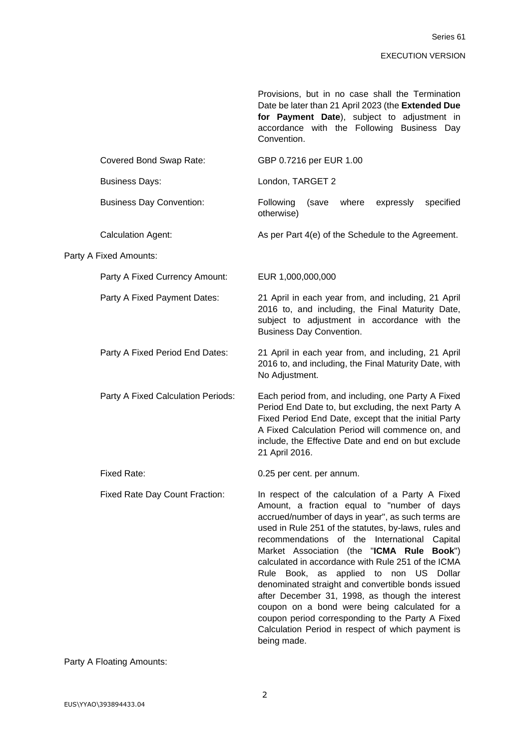|                                    | Provisions, but in no case shall the Termination<br>Date be later than 21 April 2023 (the Extended Due<br>for Payment Date), subject to adjustment in<br>accordance with the Following Business Day<br>Convention.                                                                                                                                                                                                                                                                                                                                                                                                                                                                            |  |
|------------------------------------|-----------------------------------------------------------------------------------------------------------------------------------------------------------------------------------------------------------------------------------------------------------------------------------------------------------------------------------------------------------------------------------------------------------------------------------------------------------------------------------------------------------------------------------------------------------------------------------------------------------------------------------------------------------------------------------------------|--|
| Covered Bond Swap Rate:            | GBP 0.7216 per EUR 1.00                                                                                                                                                                                                                                                                                                                                                                                                                                                                                                                                                                                                                                                                       |  |
| <b>Business Days:</b>              | London, TARGET 2                                                                                                                                                                                                                                                                                                                                                                                                                                                                                                                                                                                                                                                                              |  |
| <b>Business Day Convention:</b>    | Following<br>where<br>expressly<br>specified<br>(save<br>otherwise)                                                                                                                                                                                                                                                                                                                                                                                                                                                                                                                                                                                                                           |  |
| <b>Calculation Agent:</b>          | As per Part 4(e) of the Schedule to the Agreement.                                                                                                                                                                                                                                                                                                                                                                                                                                                                                                                                                                                                                                            |  |
| Party A Fixed Amounts:             |                                                                                                                                                                                                                                                                                                                                                                                                                                                                                                                                                                                                                                                                                               |  |
| Party A Fixed Currency Amount:     | EUR 1,000,000,000                                                                                                                                                                                                                                                                                                                                                                                                                                                                                                                                                                                                                                                                             |  |
| Party A Fixed Payment Dates:       | 21 April in each year from, and including, 21 April<br>2016 to, and including, the Final Maturity Date,<br>subject to adjustment in accordance with the<br><b>Business Day Convention.</b>                                                                                                                                                                                                                                                                                                                                                                                                                                                                                                    |  |
| Party A Fixed Period End Dates:    | 21 April in each year from, and including, 21 April<br>2016 to, and including, the Final Maturity Date, with<br>No Adjustment.                                                                                                                                                                                                                                                                                                                                                                                                                                                                                                                                                                |  |
| Party A Fixed Calculation Periods: | Each period from, and including, one Party A Fixed<br>Period End Date to, but excluding, the next Party A<br>Fixed Period End Date, except that the initial Party<br>A Fixed Calculation Period will commence on, and<br>include, the Effective Date and end on but exclude<br>21 April 2016.                                                                                                                                                                                                                                                                                                                                                                                                 |  |
| <b>Fixed Rate:</b>                 | 0.25 per cent. per annum.                                                                                                                                                                                                                                                                                                                                                                                                                                                                                                                                                                                                                                                                     |  |
| Fixed Rate Day Count Fraction:     | In respect of the calculation of a Party A Fixed<br>Amount, a fraction equal to "number of days<br>accrued/number of days in year", as such terms are<br>used in Rule 251 of the statutes, by-laws, rules and<br>recommendations of the International Capital<br>Market Association (the "ICMA Rule Book")<br>calculated in accordance with Rule 251 of the ICMA<br>Rule<br>Book, as applied to non US Dollar<br>denominated straight and convertible bonds issued<br>after December 31, 1998, as though the interest<br>coupon on a bond were being calculated for a<br>coupon period corresponding to the Party A Fixed<br>Calculation Period in respect of which payment is<br>being made. |  |

Party A Floating Amounts: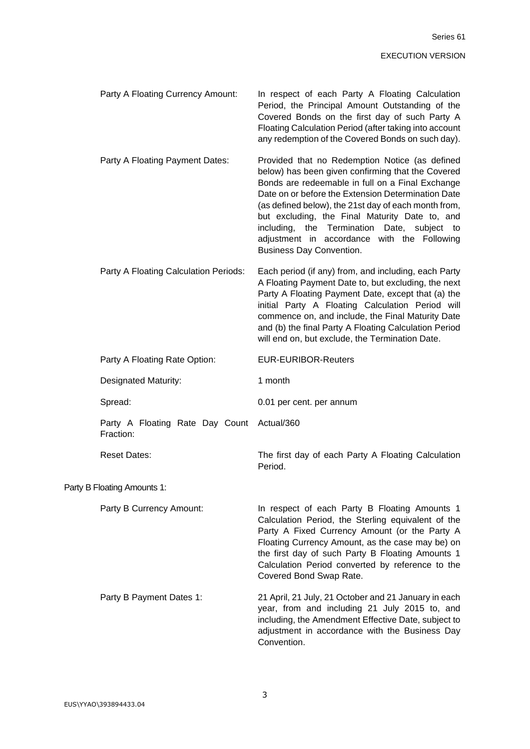| Party A Floating Currency Amount:                       | In respect of each Party A Floating Calculation<br>Period, the Principal Amount Outstanding of the<br>Covered Bonds on the first day of such Party A<br>Floating Calculation Period (after taking into account<br>any redemption of the Covered Bonds on such day).                                                                                                                                                                                         |
|---------------------------------------------------------|-------------------------------------------------------------------------------------------------------------------------------------------------------------------------------------------------------------------------------------------------------------------------------------------------------------------------------------------------------------------------------------------------------------------------------------------------------------|
| Party A Floating Payment Dates:                         | Provided that no Redemption Notice (as defined<br>below) has been given confirming that the Covered<br>Bonds are redeemable in full on a Final Exchange<br>Date on or before the Extension Determination Date<br>(as defined below), the 21st day of each month from,<br>but excluding, the Final Maturity Date to, and<br>the Termination Date, subject to<br>including,<br>adjustment in accordance with the Following<br><b>Business Day Convention.</b> |
| Party A Floating Calculation Periods:                   | Each period (if any) from, and including, each Party<br>A Floating Payment Date to, but excluding, the next<br>Party A Floating Payment Date, except that (a) the<br>initial Party A Floating Calculation Period will<br>commence on, and include, the Final Maturity Date<br>and (b) the final Party A Floating Calculation Period<br>will end on, but exclude, the Termination Date.                                                                      |
| Party A Floating Rate Option:                           | <b>EUR-EURIBOR-Reuters</b>                                                                                                                                                                                                                                                                                                                                                                                                                                  |
| <b>Designated Maturity:</b>                             | 1 month                                                                                                                                                                                                                                                                                                                                                                                                                                                     |
| Spread:                                                 | 0.01 per cent. per annum                                                                                                                                                                                                                                                                                                                                                                                                                                    |
| Party A Floating Rate Day Count Actual/360<br>Fraction: |                                                                                                                                                                                                                                                                                                                                                                                                                                                             |
| <b>Reset Dates:</b>                                     | The first day of each Party A Floating Calculation<br>Period.                                                                                                                                                                                                                                                                                                                                                                                               |
| Party B Floating Amounts 1:                             |                                                                                                                                                                                                                                                                                                                                                                                                                                                             |
| Party B Currency Amount:                                | In respect of each Party B Floating Amounts 1<br>Calculation Period, the Sterling equivalent of the<br>Party A Fixed Currency Amount (or the Party A<br>Floating Currency Amount, as the case may be) on<br>the first day of such Party B Floating Amounts 1<br>Calculation Period converted by reference to the<br>Covered Bond Swap Rate.                                                                                                                 |
| Party B Payment Dates 1:                                | 21 April, 21 July, 21 October and 21 January in each<br>year, from and including 21 July 2015 to, and<br>including, the Amendment Effective Date, subject to<br>adjustment in accordance with the Business Day<br>Convention.                                                                                                                                                                                                                               |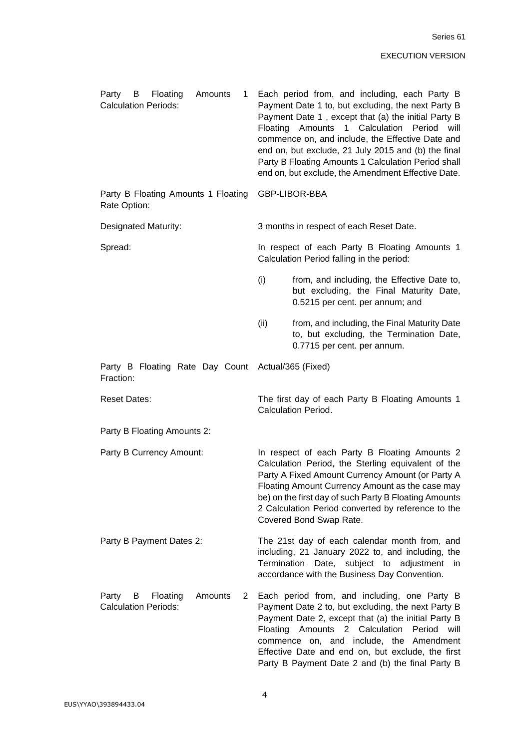| Floating<br>Amounts<br>Party<br>B<br>1<br><b>Calculation Periods:</b>                     | Each period from, and including, each Party B<br>Payment Date 1 to, but excluding, the next Party B<br>Payment Date 1, except that (a) the initial Party B<br>1 Calculation Period<br>Floating<br>Amounts<br>will<br>commence on, and include, the Effective Date and<br>end on, but exclude, 21 July 2015 and (b) the final<br>Party B Floating Amounts 1 Calculation Period shall<br>end on, but exclude, the Amendment Effective Date. |  |  |
|-------------------------------------------------------------------------------------------|-------------------------------------------------------------------------------------------------------------------------------------------------------------------------------------------------------------------------------------------------------------------------------------------------------------------------------------------------------------------------------------------------------------------------------------------|--|--|
| Party B Floating Amounts 1 Floating<br>Rate Option:                                       | GBP-LIBOR-BBA                                                                                                                                                                                                                                                                                                                                                                                                                             |  |  |
| Designated Maturity:                                                                      | 3 months in respect of each Reset Date.                                                                                                                                                                                                                                                                                                                                                                                                   |  |  |
| Spread:                                                                                   | In respect of each Party B Floating Amounts 1<br>Calculation Period falling in the period:                                                                                                                                                                                                                                                                                                                                                |  |  |
|                                                                                           | (i)<br>from, and including, the Effective Date to,<br>but excluding, the Final Maturity Date,<br>0.5215 per cent. per annum; and                                                                                                                                                                                                                                                                                                          |  |  |
|                                                                                           | (ii)<br>from, and including, the Final Maturity Date<br>to, but excluding, the Termination Date,<br>0.7715 per cent. per annum.                                                                                                                                                                                                                                                                                                           |  |  |
| Party B Floating Rate Day Count Actual/365 (Fixed)<br>Fraction:                           |                                                                                                                                                                                                                                                                                                                                                                                                                                           |  |  |
| <b>Reset Dates:</b>                                                                       | The first day of each Party B Floating Amounts 1<br><b>Calculation Period.</b>                                                                                                                                                                                                                                                                                                                                                            |  |  |
| Party B Floating Amounts 2:                                                               |                                                                                                                                                                                                                                                                                                                                                                                                                                           |  |  |
| Party B Currency Amount:                                                                  | In respect of each Party B Floating Amounts 2<br>Calculation Period, the Sterling equivalent of the<br>Party A Fixed Amount Currency Amount (or Party A<br>Floating Amount Currency Amount as the case may<br>be) on the first day of such Party B Floating Amounts<br>2 Calculation Period converted by reference to the<br>Covered Bond Swap Rate.                                                                                      |  |  |
| Party B Payment Dates 2:                                                                  | The 21st day of each calendar month from, and<br>including, 21 January 2022 to, and including, the<br>Termination<br>Date, subject to adjustment<br>in.<br>accordance with the Business Day Convention.                                                                                                                                                                                                                                   |  |  |
| Amounts<br>$\mathbf{2}^{\prime}$<br>Party<br>B<br>Floating<br><b>Calculation Periods:</b> | Each period from, and including, one Party B<br>Payment Date 2 to, but excluding, the next Party B<br>Payment Date 2, except that (a) the initial Party B<br>Amounts 2 Calculation<br>Period will<br>Floating<br>commence on, and include, the Amendment<br>Effective Date and end on, but exclude, the first<br>Party B Payment Date 2 and (b) the final Party B                                                                         |  |  |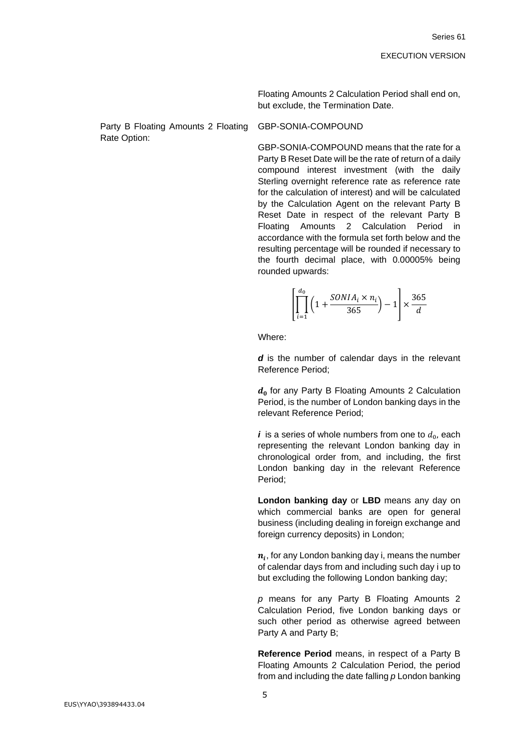Floating Amounts 2 Calculation Period shall end on, but exclude, the Termination Date.

Party B Floating Amounts 2 Floating Rate Option:

### GBP-SONIA-COMPOUND

GBP-SONIA-COMPOUND means that the rate for a Party B Reset Date will be the rate of return of a daily compound interest investment (with the daily Sterling overnight reference rate as reference rate for the calculation of interest) and will be calculated by the Calculation Agent on the relevant Party B Reset Date in respect of the relevant Party B Floating Amounts 2 Calculation Period in accordance with the formula set forth below and the resulting percentage will be rounded if necessary to the fourth decimal place, with 0.00005% being rounded upwards:

$$
\left[\prod_{i=1}^{d_0} \left(1 + \frac{SONIA_i \times n_i}{365}\right) - 1\right] \times \frac{365}{d}
$$

Where:

*d* is the number of calendar days in the relevant Reference Period;

 $d_0$  for any Party B Floating Amounts 2 Calculation Period, is the number of London banking days in the relevant Reference Period;

 $\bm{i}$  is a series of whole numbers from one to  $d_0$ , each representing the relevant London banking day in chronological order from, and including, the first London banking day in the relevant Reference Period;

**London banking day** or **LBD** means any day on which commercial banks are open for general business (including dealing in foreign exchange and foreign currency deposits) in London;

 $\pmb{n}_i$ , for any London banking day i, means the number of calendar days from and including such day i up to but excluding the following London banking day;

*p* means for any Party B Floating Amounts 2 Calculation Period, five London banking days or such other period as otherwise agreed between Party A and Party B;

**Reference Period** means, in respect of a Party B Floating Amounts 2 Calculation Period, the period from and including the date falling *p* London banking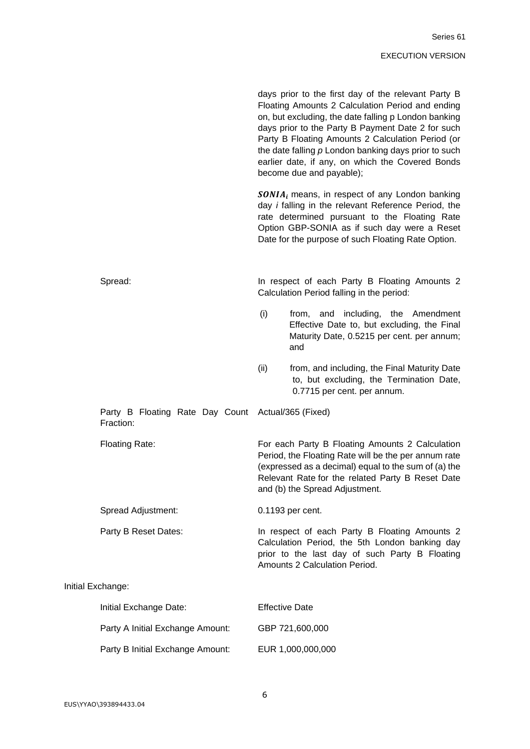|                                              |                       | days prior to the first day of the relevant Party B<br>Floating Amounts 2 Calculation Period and ending<br>on, but excluding, the date falling p London banking<br>days prior to the Party B Payment Date 2 for such<br>Party B Floating Amounts 2 Calculation Period (or<br>the date falling $p$ London banking days prior to such<br>earlier date, if any, on which the Covered Bonds<br>become due and payable); |
|----------------------------------------------|-----------------------|---------------------------------------------------------------------------------------------------------------------------------------------------------------------------------------------------------------------------------------------------------------------------------------------------------------------------------------------------------------------------------------------------------------------|
|                                              |                       | $SONIAi$ means, in respect of any London banking<br>day <i>i</i> falling in the relevant Reference Period, the<br>rate determined pursuant to the Floating Rate<br>Option GBP-SONIA as if such day were a Reset<br>Date for the purpose of such Floating Rate Option.                                                                                                                                               |
| Spread:                                      |                       | In respect of each Party B Floating Amounts 2<br>Calculation Period falling in the period:                                                                                                                                                                                                                                                                                                                          |
|                                              | (i)                   | from, and including, the Amendment<br>Effective Date to, but excluding, the Final<br>Maturity Date, 0.5215 per cent. per annum;<br>and                                                                                                                                                                                                                                                                              |
|                                              | (ii)                  | from, and including, the Final Maturity Date<br>to, but excluding, the Termination Date,<br>0.7715 per cent. per annum.                                                                                                                                                                                                                                                                                             |
| Party B Floating Rate Day Count<br>Fraction: |                       | Actual/365 (Fixed)                                                                                                                                                                                                                                                                                                                                                                                                  |
| Floating Rate:                               |                       | For each Party B Floating Amounts 2 Calculation<br>Period, the Floating Rate will be the per annum rate<br>(expressed as a decimal) equal to the sum of (a) the<br>Relevant Rate for the related Party B Reset Date<br>and (b) the Spread Adjustment.                                                                                                                                                               |
| Spread Adjustment:                           |                       | 0.1193 per cent.                                                                                                                                                                                                                                                                                                                                                                                                    |
| Party B Reset Dates:                         |                       | In respect of each Party B Floating Amounts 2<br>Calculation Period, the 5th London banking day<br>prior to the last day of such Party B Floating<br>Amounts 2 Calculation Period.                                                                                                                                                                                                                                  |
| Exchange:                                    |                       |                                                                                                                                                                                                                                                                                                                                                                                                                     |
| Initial Exchange Date:                       | <b>Effective Date</b> |                                                                                                                                                                                                                                                                                                                                                                                                                     |
| Party A Initial Exchange Amount:             |                       | GBP 721,600,000                                                                                                                                                                                                                                                                                                                                                                                                     |
| Party B Initial Exchange Amount:             |                       | EUR 1,000,000,000                                                                                                                                                                                                                                                                                                                                                                                                   |

Initial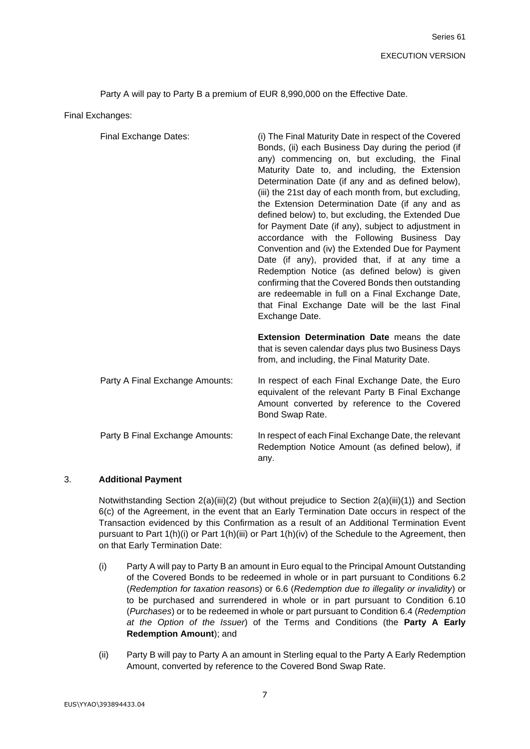Party A will pay to Party B a premium of EUR 8,990,000 on the Effective Date.

Final Exchanges:

| Final Exchange Dates:           | (i) The Final Maturity Date in respect of the Covered<br>Bonds, (ii) each Business Day during the period (if<br>any) commencing on, but excluding, the Final<br>Maturity Date to, and including, the Extension<br>Determination Date (if any and as defined below),<br>(iii) the 21st day of each month from, but excluding,<br>the Extension Determination Date (if any and as<br>defined below) to, but excluding, the Extended Due<br>for Payment Date (if any), subject to adjustment in<br>accordance with the Following Business Day<br>Convention and (iv) the Extended Due for Payment<br>Date (if any), provided that, if at any time a<br>Redemption Notice (as defined below) is given<br>confirming that the Covered Bonds then outstanding<br>are redeemable in full on a Final Exchange Date,<br>that Final Exchange Date will be the last Final<br>Exchange Date. |
|---------------------------------|----------------------------------------------------------------------------------------------------------------------------------------------------------------------------------------------------------------------------------------------------------------------------------------------------------------------------------------------------------------------------------------------------------------------------------------------------------------------------------------------------------------------------------------------------------------------------------------------------------------------------------------------------------------------------------------------------------------------------------------------------------------------------------------------------------------------------------------------------------------------------------|
|                                 | Extension Determination Date means the date<br>that is seven calendar days plus two Business Days<br>from, and including, the Final Maturity Date.                                                                                                                                                                                                                                                                                                                                                                                                                                                                                                                                                                                                                                                                                                                               |
| Party A Final Exchange Amounts: | In respect of each Final Exchange Date, the Euro<br>equivalent of the relevant Party B Final Exchange<br>Amount converted by reference to the Covered<br>Bond Swap Rate.                                                                                                                                                                                                                                                                                                                                                                                                                                                                                                                                                                                                                                                                                                         |
| Party B Final Exchange Amounts: | In respect of each Final Exchange Date, the relevant<br>Redemption Notice Amount (as defined below), if<br>any.                                                                                                                                                                                                                                                                                                                                                                                                                                                                                                                                                                                                                                                                                                                                                                  |

### 3. **Additional Payment**

Notwithstanding Section 2(a)(iii)(2) (but without prejudice to Section 2(a)(iii)(1)) and Section 6(c) of the Agreement, in the event that an Early Termination Date occurs in respect of the Transaction evidenced by this Confirmation as a result of an Additional Termination Event pursuant to Part 1(h)(i) or Part 1(h)(iii) or Part 1(h)(iv) of the Schedule to the Agreement, then on that Early Termination Date:

- (i) Party A will pay to Party B an amount in Euro equal to the Principal Amount Outstanding of the Covered Bonds to be redeemed in whole or in part pursuant to Conditions 6.2 (*Redemption for taxation reasons*) or 6.6 (*Redemption due to illegality or invalidity*) or to be purchased and surrendered in whole or in part pursuant to Condition 6.10 (*Purchases*) or to be redeemed in whole or part pursuant to Condition 6.4 (*Redemption at the Option of the Issuer*) of the Terms and Conditions (the **Party A Early Redemption Amount**); and
- (ii) Party B will pay to Party A an amount in Sterling equal to the Party A Early Redemption Amount, converted by reference to the Covered Bond Swap Rate.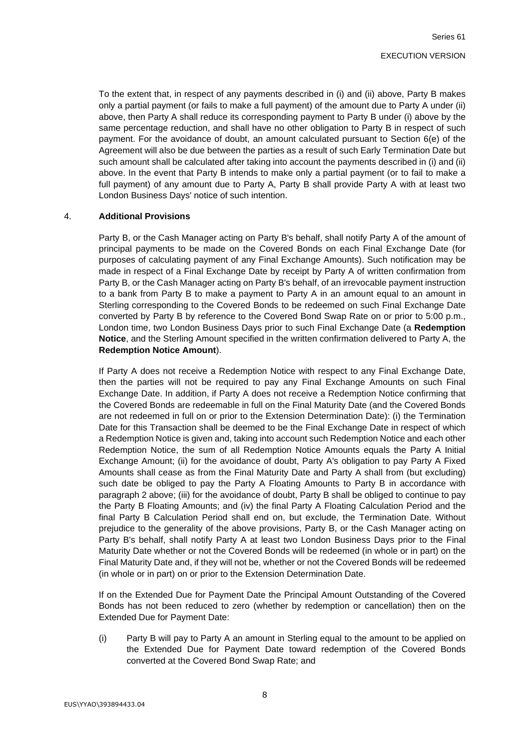To the extent that, in respect of any payments described in (i) and (ii) above, Party B makes only a partial payment (or fails to make a full payment) of the amount due to Party A under (ii) above, then Party A shall reduce its corresponding payment to Party B under (i) above by the same percentage reduction, and shall have no other obligation to Party B in respect of such payment. For the avoidance of doubt, an amount calculated pursuant to Section 6(e) of the Agreement will also be due between the parties as a result of such Early Termination Date but such amount shall be calculated after taking into account the payments described in (i) and (ii) above. In the event that Party B intends to make only a partial payment (or to fail to make a full payment) of any amount due to Party A, Party B shall provide Party A with at least two London Business Days' notice of such intention.

### 4. **Additional Provisions**

Party B, or the Cash Manager acting on Party B's behalf, shall notify Party A of the amount of principal payments to be made on the Covered Bonds on each Final Exchange Date (for purposes of calculating payment of any Final Exchange Amounts). Such notification may be made in respect of a Final Exchange Date by receipt by Party A of written confirmation from Party B, or the Cash Manager acting on Party B's behalf, of an irrevocable payment instruction to a bank from Party B to make a payment to Party A in an amount equal to an amount in Sterling corresponding to the Covered Bonds to be redeemed on such Final Exchange Date converted by Party B by reference to the Covered Bond Swap Rate on or prior to 5:00 p.m., London time, two London Business Days prior to such Final Exchange Date (a **Redemption Notice**, and the Sterling Amount specified in the written confirmation delivered to Party A, the **Redemption Notice Amount**).

If Party A does not receive a Redemption Notice with respect to any Final Exchange Date, then the parties will not be required to pay any Final Exchange Amounts on such Final Exchange Date. In addition, if Party A does not receive a Redemption Notice confirming that the Covered Bonds are redeemable in full on the Final Maturity Date (and the Covered Bonds are not redeemed in full on or prior to the Extension Determination Date): (i) the Termination Date for this Transaction shall be deemed to be the Final Exchange Date in respect of which a Redemption Notice is given and, taking into account such Redemption Notice and each other Redemption Notice, the sum of all Redemption Notice Amounts equals the Party A Initial Exchange Amount; (ii) for the avoidance of doubt, Party A's obligation to pay Party A Fixed Amounts shall cease as from the Final Maturity Date and Party A shall from (but excluding) such date be obliged to pay the Party A Floating Amounts to Party B in accordance with paragraph 2 above; (iii) for the avoidance of doubt, Party B shall be obliged to continue to pay the Party B Floating Amounts; and (iv) the final Party A Floating Calculation Period and the final Party B Calculation Period shall end on, but exclude, the Termination Date. Without prejudice to the generality of the above provisions, Party B, or the Cash Manager acting on Party B's behalf, shall notify Party A at least two London Business Days prior to the Final Maturity Date whether or not the Covered Bonds will be redeemed (in whole or in part) on the Final Maturity Date and, if they will not be, whether or not the Covered Bonds will be redeemed (in whole or in part) on or prior to the Extension Determination Date.

If on the Extended Due for Payment Date the Principal Amount Outstanding of the Covered Bonds has not been reduced to zero (whether by redemption or cancellation) then on the Extended Due for Payment Date:

(i) Party B will pay to Party A an amount in Sterling equal to the amount to be applied on the Extended Due for Payment Date toward redemption of the Covered Bonds converted at the Covered Bond Swap Rate; and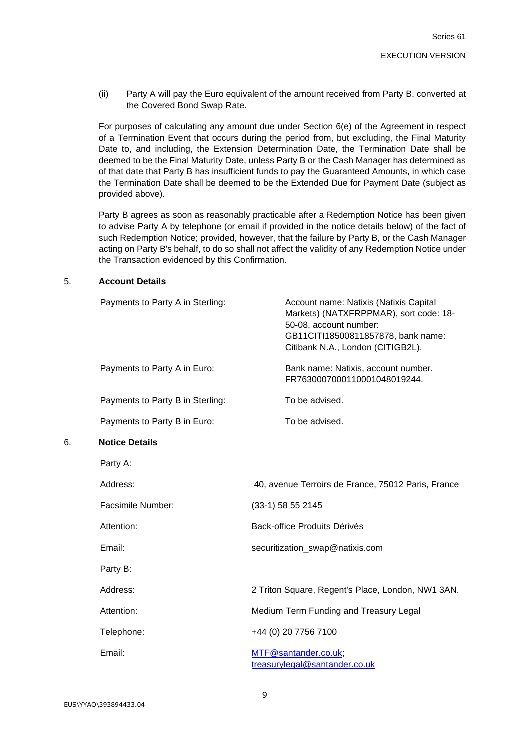(ii) Party A will pay the Euro equivalent of the amount received from Party B, converted at the Covered Bond Swap Rate.

For purposes of calculating any amount due under Section 6(e) of the Agreement in respect of a Termination Event that occurs during the period from, but excluding, the Final Maturity Date to, and including, the Extension Determination Date, the Termination Date shall be deemed to be the Final Maturity Date, unless Party B or the Cash Manager has determined as of that date that Party B has insufficient funds to pay the Guaranteed Amounts, in which case the Termination Date shall be deemed to be the Extended Due for Payment Date (subject as provided above).

Party B agrees as soon as reasonably practicable after a Redemption Notice has been given to advise Party A by telephone (or email if provided in the notice details below) of the fact of such Redemption Notice; provided, however, that the failure by Party B, or the Cash Manager acting on Party B's behalf, to do so shall not affect the validity of any Redemption Notice under the Transaction evidenced by this Confirmation.

#### 5. **Account Details**

|    | Payments to Party A in Sterling: | Account name: Natixis (Natixis Capital<br>Markets) (NATXFRPPMAR), sort code: 18-<br>50-08, account number:<br>GB11CITI18500811857878, bank name:<br>Citibank N.A., London (CITIGB2L). |
|----|----------------------------------|---------------------------------------------------------------------------------------------------------------------------------------------------------------------------------------|
|    | Payments to Party A in Euro:     | Bank name: Natixis, account number.<br>FR7630007000110001048019244.                                                                                                                   |
|    | Payments to Party B in Sterling: | To be advised.                                                                                                                                                                        |
|    | Payments to Party B in Euro:     | To be advised.                                                                                                                                                                        |
| 6. | <b>Notice Details</b>            |                                                                                                                                                                                       |
|    | Party A:                         |                                                                                                                                                                                       |
|    | Address:                         | 40, avenue Terroirs de France, 75012 Paris, France                                                                                                                                    |
|    | Facsimile Number:                | (33-1) 58 55 2145                                                                                                                                                                     |
|    | Attention:                       | Back-office Produits Dérivés                                                                                                                                                          |
|    | Email:                           | securitization_swap@natixis.com                                                                                                                                                       |
|    | Party B:                         |                                                                                                                                                                                       |
|    | Address:                         | 2 Triton Square, Regent's Place, London, NW1 3AN.                                                                                                                                     |
|    | Attention:                       | Medium Term Funding and Treasury Legal                                                                                                                                                |
|    | Telephone:                       | +44 (0) 20 7756 7100                                                                                                                                                                  |
|    | Email:                           | MTF@santander.co.uk;<br>treasurylegal@santander.co.uk                                                                                                                                 |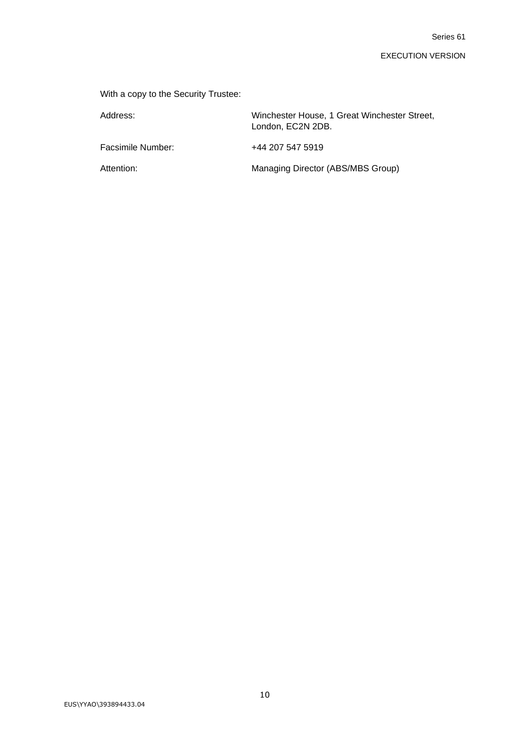With a copy to the Security Trustee:

| Address:          | Winchester House, 1 Great Winchester Street,<br>London, EC2N 2DB. |
|-------------------|-------------------------------------------------------------------|
| Facsimile Number: | +44 207 547 5919                                                  |
| Attention:        | Managing Director (ABS/MBS Group)                                 |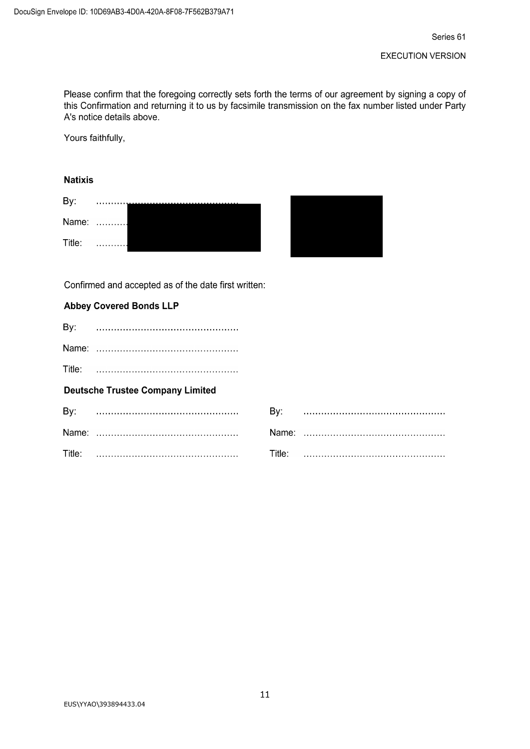Please confirm that the foregoing correctly sets forth the terms of our agreement by signing a copy of this Confirmation and returning it to us by facsimile transmission on the fax number listed under Party A's notice details above.

Yours faithfully,

# **Natixis**

| В١     |     |  |  |
|--------|-----|--|--|
| Name:  | . 1 |  |  |
| Title: | .   |  |  |

Confirmed and accepted as of the date first written:

## **Abbey Covered Bonds LLP**

| By:    |                                         |        |  |
|--------|-----------------------------------------|--------|--|
|        |                                         |        |  |
| Title: |                                         |        |  |
|        | <b>Deutsche Trustee Company Limited</b> |        |  |
| By:    |                                         |        |  |
|        |                                         |        |  |
| Title: |                                         | Title∵ |  |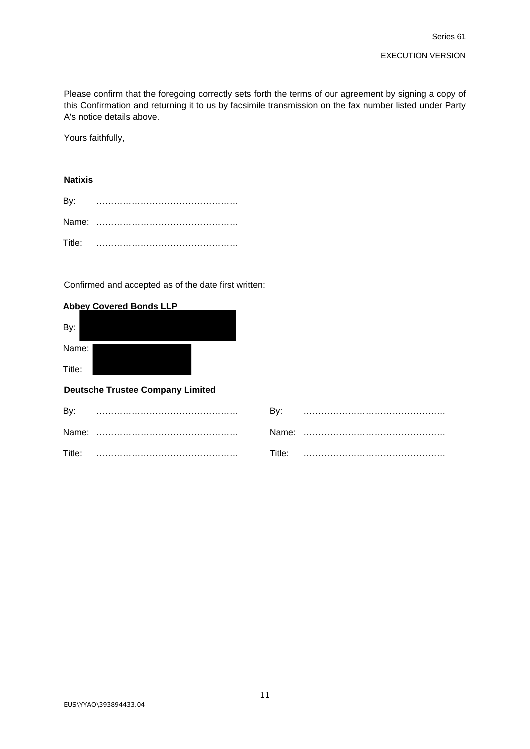Please confirm that the foregoing correctly sets forth the terms of our agreement by signing a copy of this Confirmation and returning it to us by facsimile transmission on the fax number listed under Party A's notice details above.

Yours faithfully,

### **Natixis**

Confirmed and accepted as of the date first written:

### **Abbey Covered Bonds LLP**

| <b>Deutsche Trustee Company Limited</b> |  |  |
|-----------------------------------------|--|--|
| Title:                                  |  |  |
| Name:                                   |  |  |
| By:                                     |  |  |
|                                         |  |  |

| By:    |         |  |
|--------|---------|--|
| Name:  | Name: l |  |
| Title: | Title:  |  |